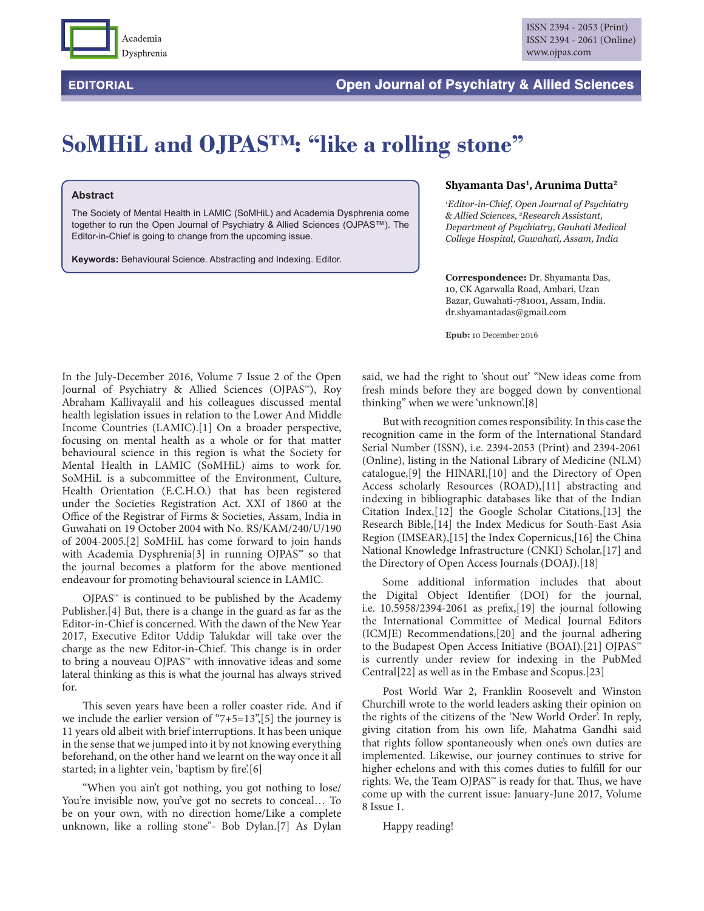

## **SoMHiL and OJPAS™: "like a rolling stone"**

## **Abstract**

The Society of Mental Health in LAMIC (SoMHiL) and Academia Dysphrenia come together to run the Open Journal of Psychiatry & Allied Sciences (OJPAS™). The Editor-in-Chief is going to change from the upcoming issue.

**Keywords:** Behavioural Science. Abstracting and Indexing. Editor.

## **Shyamanta Das1, Arunima Dutta2**

*1 Editor-in-Chief, Open Journal of Psychiatry & Allied Sciences, 2 Research Assistant, Department of Psychiatry, Gauhati Medical College Hospital, Guwahati, Assam, India*

**Correspondence:** Dr. Shyamanta Das, 10, CK Agarwalla Road, Ambari, Uzan Bazar, Guwahati-781001, Assam, India. dr.shyamantadas@gmail.com

**Epub:** 10 December 2016

In the July-December 2016, Volume 7 Issue 2 of the Open Journal of Psychiatry & Allied Sciences (OJPAS™), Roy Abraham Kallivayalil and his colleagues discussed mental health legislation issues in relation to the Lower And Middle Income Countries (LAMIC).[1] On a broader perspective, focusing on mental health as a whole or for that matter behavioural science in this region is what the Society for Mental Health in LAMIC (SoMHiL) aims to work for. SoMHiL is a subcommittee of the Environment, Culture, Health Orientation (E.C.H.O.) that has been registered under the Societies Registration Act. XXI of 1860 at the Office of the Registrar of Firms & Societies, Assam, India in Guwahati on 19 October 2004 with No. RS/KAM/240/U/190 of 2004-2005.[2] SoMHiL has come forward to join hands with Academia Dysphrenia[3] in running OJPAS<sup>™</sup> so that the journal becomes a platform for the above mentioned endeavour for promoting behavioural science in LAMIC.

 $OJPAS<sup>**</sup>$  is continued to be published by the Academy Publisher.[4] But, there is a change in the guard as far as the Editor-in-Chief is concerned. With the dawn of the New Year 2017, Executive Editor Uddip Talukdar will take over the charge as the new Editor-in-Chief. This change is in order to bring a nouveau OJPAS™ with innovative ideas and some lateral thinking as this is what the journal has always strived for.

This seven years have been a roller coaster ride. And if we include the earlier version of "7+5=13",[5] the journey is 11 years old albeit with brief interruptions. It has been unique in the sense that we jumped into it by not knowing everything beforehand, on the other hand we learnt on the way once it all started; in a lighter vein, 'baptism by fire'.[6]

"When you ain't got nothing, you got nothing to lose/ You're invisible now, you've got no secrets to conceal… To be on your own, with no direction home/Like a complete unknown, like a rolling stone"- Bob Dylan.[7] As Dylan said, we had the right to 'shout out' "New ideas come from fresh minds before they are bogged down by conventional thinking" when we were 'unknown'.[8]

But with recognition comes responsibility. In this case the recognition came in the form of the International Standard Serial Number (ISSN), i.e. 2394-2053 (Print) and 2394-2061 (Online), listing in the National Library of Medicine (NLM) catalogue,[9] the HINARI,[10] and the Directory of Open Access scholarly Resources (ROAD),[11] abstracting and indexing in bibliographic databases like that of the Indian Citation Index,[12] the Google Scholar Citations,[13] the Research Bible,[14] the Index Medicus for South-East Asia Region (IMSEAR),[15] the Index Copernicus,[16] the China National Knowledge Infrastructure (CNKI) Scholar,[17] and the Directory of Open Access Journals (DOAJ).[18]

Some additional information includes that about the Digital Object Identifier (DOI) for the journal, i.e.  $10.5958/2394-2061$  as prefix, [19] the journal following the International Committee of Medical Journal Editors (ICMJE) Recommendations,[20] and the journal adhering to the Budapest Open Access Initiative (BOAI).[21] OJPAS™ is currently under review for indexing in the PubMed Central[22] as well as in the Embase and Scopus.[23]

Post World War 2, Franklin Roosevelt and Winston Churchill wrote to the world leaders asking their opinion on the rights of the citizens of the 'New World Order'. In reply, giving citation from his own life, Mahatma Gandhi said that rights follow spontaneously when one's own duties are implemented. Likewise, our journey continues to strive for higher echelons and with this comes duties to fulfill for our rights. We, the Team OJPAS™ is ready for that. Thus, we have come up with the current issue: January-June 2017, Volume 8 Issue 1.

Happy reading!